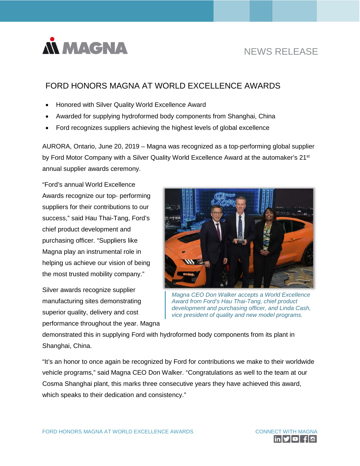

# NEWS RELEASE

## FORD HONORS MAGNA AT WORLD EXCELLENCE AWARDS

- Honored with Silver Quality World Excellence Award
- Awarded for supplying hydroformed body components from Shanghai, China
- Ford recognizes suppliers achieving the highest levels of global excellence

AURORA, Ontario, June 20, 2019 – Magna was recognized as a top-performing global supplier by Ford Motor Company with a Silver Quality World Excellence Award at the automaker's 21<sup>st</sup> annual supplier awards ceremony.

"Ford's annual World Excellence Awards recognize our top- performing suppliers for their contributions to our success," said Hau Thai-Tang, Ford's chief product development and purchasing officer. "Suppliers like Magna play an instrumental role in helping us achieve our vision of being the most trusted mobility company."

Silver awards recognize supplier manufacturing sites demonstrating superior quality, delivery and cost performance throughout the year. Magna



*Magna CEO Don Walker accepts a World Excellence Award from Ford's Hau Thai-Tang, chief product development and purchasing officer, and Linda Cash, vice president of quality and new model programs.*

demonstrated this in supplying Ford with hydroformed body components from its plant in Shanghai, China.

"It's an honor to once again be recognized by Ford for contributions we make to their worldwide vehicle programs," said Magna CEO Don Walker. "Congratulations as well to the team at our Cosma Shanghai plant, this marks three consecutive years they have achieved this award, which speaks to their dedication and consistency."